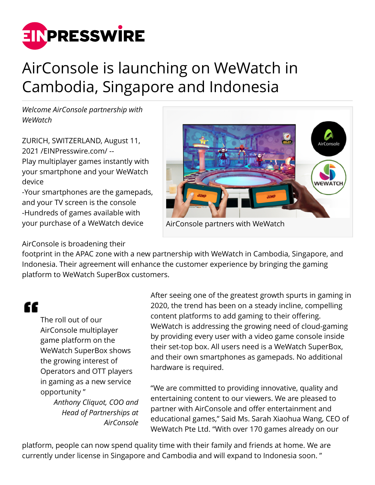

## AirConsole is launching on WeWatch in Cambodia, Singapore and Indonesia

*Welcome AirConsole partnership with WeWatch*

ZURICH, SWITZERLAND, August 11, 2021 /[EINPresswire.com](http://www.einpresswire.com)/ -- Play multiplayer games instantly with your smartphone and your WeWatch device

-Your smartphones are the gamepads, and your TV screen is the console -Hundreds of games available with your purchase of a WeWatch device



## AirConsole is broadening their

footprint in the APAC zone with a new partnership with WeWatch in Cambodia, Singapore, and Indonesia. Their agreement will enhance the customer experience by bringing the gaming platform to WeWatch SuperBox customers.

## "

The roll out of our AirConsole multiplayer game platform on the WeWatch SuperBox shows the growing interest of Operators and OTT players in gaming as a new service opportunity "

> *Anthony Cliquot, COO and Head of Partnerships at AirConsole*

After seeing one of the greatest growth spurts in gaming in 2020, the trend has been on a steady incline, compelling content platforms to add gaming to their offering. WeWatch is addressing the growing need of cloud-gaming by providing every user with a video game console inside their set-top box. All users need is a WeWatch SuperBox, and their own smartphones as gamepads. No additional hardware is required.

"We are committed to providing innovative, quality and entertaining content to our viewers. We are pleased to partner with AirConsole and offer entertainment and educational games," Said Ms. Sarah Xiaohua Wang, CEO of WeWatch Pte Ltd. "With over 170 games already on our

platform, people can now spend quality time with their family and friends at home. We are currently under license in Singapore and Cambodia and will expand to Indonesia soon. "